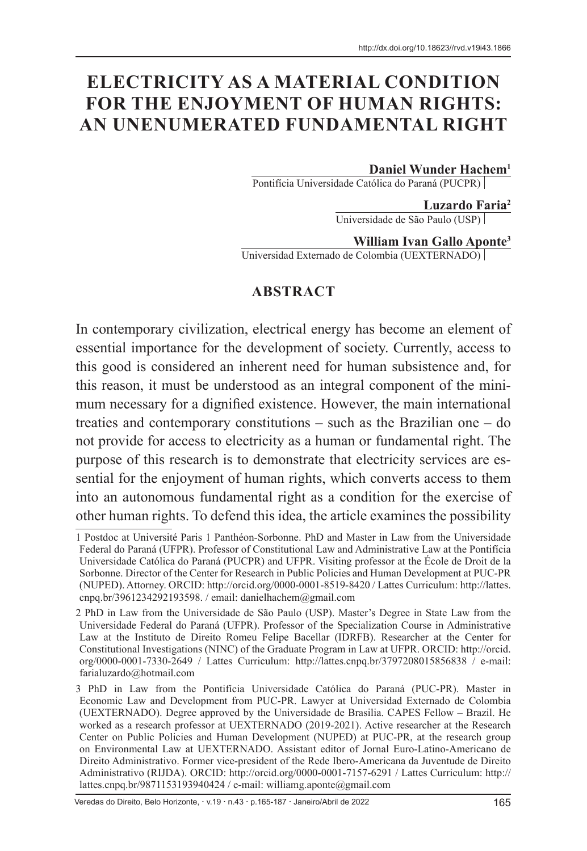# **ELECTRICITY AS A MATERIAL CONDITION FOR THE ENJOYMENT OF HUMAN RIGHTS: AN UNENUMERATED FUNDAMENTAL RIGHT**

#### **Daniel Wunder Hachem1**

Pontifícia Universidade Católica do Paraná (PUCPR)

**Luzardo Faria2** Universidade de São Paulo (USP)

**William Ivan Gallo Aponte3**

Universidad Externado de Colombia (UEXTERNADO)

#### **ABSTRACT**

In contemporary civilization, electrical energy has become an element of essential importance for the development of society. Currently, access to this good is considered an inherent need for human subsistence and, for this reason, it must be understood as an integral component of the minimum necessary for a dignified existence. However, the main international treaties and contemporary constitutions – such as the Brazilian one – do not provide for access to electricity as a human or fundamental right. The purpose of this research is to demonstrate that electricity services are essential for the enjoyment of human rights, which converts access to them into an autonomous fundamental right as a condition for the exercise of other human rights. To defend this idea, the article examines the possibility

Veredas do Direito, Belo Horizonte, · v.19 · n.43 · p.165-187 · Janeiro/Abril de 2022 165

<sup>1</sup> Postdoc at Université Paris 1 Panthéon-Sorbonne. PhD and Master in Law from the Universidade Federal do Paraná (UFPR). Professor of Constitutional Law and Administrative Law at the Pontifícia Universidade Católica do Paraná (PUCPR) and UFPR. Visiting professor at the École de Droit de la Sorbonne. Director of the Center for Research in Public Policies and Human Development at PUC-PR (NUPED). Attorney. ORCID: http://orcid.org/0000-0001-8519-8420 / Lattes Curriculum: http://lattes. cnpq.br/3961234292193598. / email: danielhachem@gmail.com

<sup>2</sup> PhD in Law from the Universidade de São Paulo (USP). Master's Degree in State Law from the Universidade Federal do Paraná (UFPR). Professor of the Specialization Course in Administrative Law at the Instituto de Direito Romeu Felipe Bacellar (IDRFB). Researcher at the Center for Constitutional Investigations (NINC) of the Graduate Program in Law at UFPR. ORCID: http://orcid. org/0000-0001-7330-2649 / Lattes Curriculum: http://lattes.cnpq.br/3797208015856838 / e-mail: farialuzardo@hotmail.com

<sup>3</sup> PhD in Law from the Pontifícia Universidade Católica do Paraná (PUC-PR). Master in Economic Law and Development from PUC-PR. Lawyer at Universidad Externado de Colombia (UEXTERNADO). Degree approved by the Universidade de Brasilia. CAPES Fellow – Brazil. He worked as a research professor at UEXTERNADO (2019-2021). Active researcher at the Research Center on Public Policies and Human Development (NUPED) at PUC-PR, at the research group on Environmental Law at UEXTERNADO. Assistant editor of Jornal Euro-Latino-Americano de Direito Administrativo. Former vice-president of the Rede Ibero-Americana da Juventude de Direito Administrativo (RIJDA). ORCID: http://orcid.org/0000-0001-7157-6291 / Lattes Curriculum: http:// lattes.cnpq.br/9871153193940424 / e-mail: williamg.aponte@gmail.com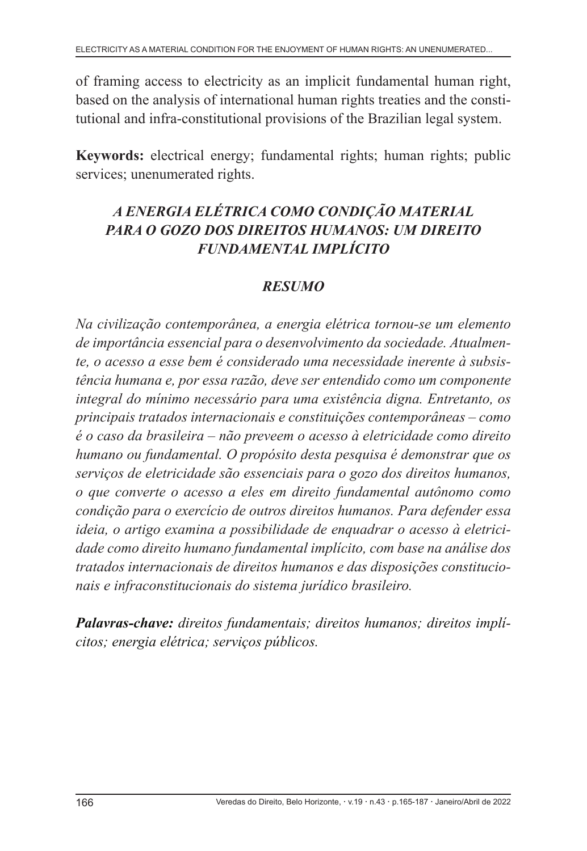of framing access to electricity as an implicit fundamental human right, based on the analysis of international human rights treaties and the constitutional and infra-constitutional provisions of the Brazilian legal system.

**Keywords:** electrical energy; fundamental rights; human rights; public services; unenumerated rights.

# *A ENERGIA ELÉTRICA COMO CONDIÇÃO MATERIAL PARA O GOZO DOS DIREITOS HUMANOS: UM DIREITO FUNDAMENTAL IMPLÍCITO*

# *RESUMO*

*Na civilização contemporânea, a energia elétrica tornou-se um elemento de importância essencial para o desenvolvimento da sociedade. Atualmente, o acesso a esse bem é considerado uma necessidade inerente à subsistência humana e, por essa razão, deve ser entendido como um componente integral do mínimo necessário para uma existência digna. Entretanto, os principais tratados internacionais e constituições contemporâneas – como é o caso da brasileira – não preveem o acesso à eletricidade como direito humano ou fundamental. O propósito desta pesquisa é demonstrar que os serviços de eletricidade são essenciais para o gozo dos direitos humanos, o que converte o acesso a eles em direito fundamental autônomo como condição para o exercício de outros direitos humanos. Para defender essa ideia, o artigo examina a possibilidade de enquadrar o acesso à eletricidade como direito humano fundamental implícito, com base na análise dos tratados internacionais de direitos humanos e das disposições constitucionais e infraconstitucionais do sistema jurídico brasileiro.*

*Palavras-chave: direitos fundamentais; direitos humanos; direitos implícitos; energia elétrica; serviços públicos.*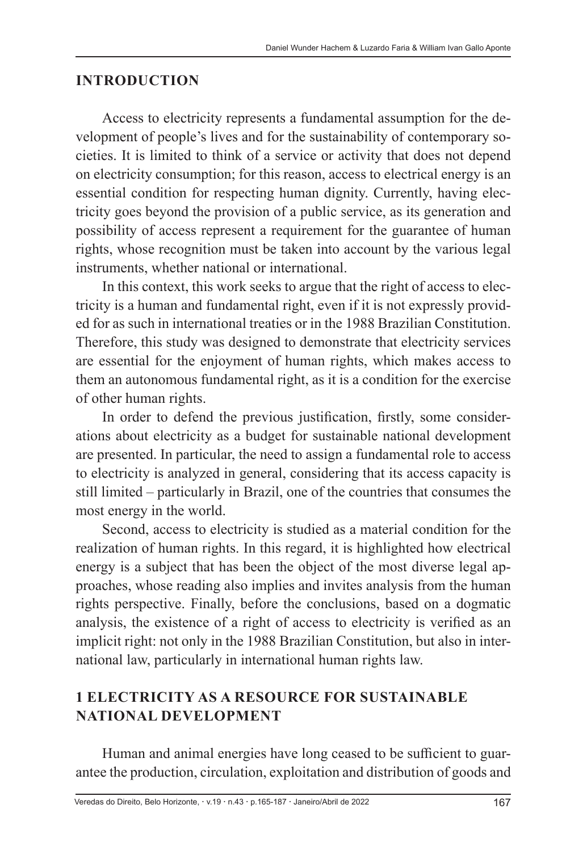### **INTRODUCTION**

Access to electricity represents a fundamental assumption for the development of people's lives and for the sustainability of contemporary societies. It is limited to think of a service or activity that does not depend on electricity consumption; for this reason, access to electrical energy is an essential condition for respecting human dignity. Currently, having electricity goes beyond the provision of a public service, as its generation and possibility of access represent a requirement for the guarantee of human rights, whose recognition must be taken into account by the various legal instruments, whether national or international.

In this context, this work seeks to argue that the right of access to electricity is a human and fundamental right, even if it is not expressly provided for as such in international treaties or in the 1988 Brazilian Constitution. Therefore, this study was designed to demonstrate that electricity services are essential for the enjoyment of human rights, which makes access to them an autonomous fundamental right, as it is a condition for the exercise of other human rights.

In order to defend the previous justification, firstly, some considerations about electricity as a budget for sustainable national development are presented. In particular, the need to assign a fundamental role to access to electricity is analyzed in general, considering that its access capacity is still limited – particularly in Brazil, one of the countries that consumes the most energy in the world.

Second, access to electricity is studied as a material condition for the realization of human rights. In this regard, it is highlighted how electrical energy is a subject that has been the object of the most diverse legal approaches, whose reading also implies and invites analysis from the human rights perspective. Finally, before the conclusions, based on a dogmatic analysis, the existence of a right of access to electricity is verified as an implicit right: not only in the 1988 Brazilian Constitution, but also in international law, particularly in international human rights law.

# **1 ELECTRICITY AS A RESOURCE FOR SUSTAINABLE NATIONAL DEVELOPMENT**

Human and animal energies have long ceased to be sufficient to guarantee the production, circulation, exploitation and distribution of goods and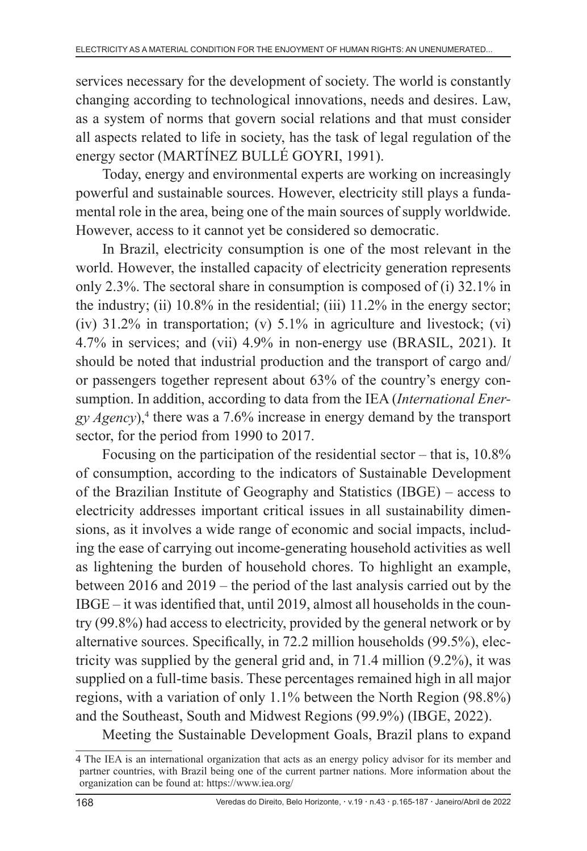services necessary for the development of society. The world is constantly changing according to technological innovations, needs and desires. Law, as a system of norms that govern social relations and that must consider all aspects related to life in society, has the task of legal regulation of the energy sector (MARTÍNEZ BULLÉ GOYRI, 1991).

Today, energy and environmental experts are working on increasingly powerful and sustainable sources. However, electricity still plays a fundamental role in the area, being one of the main sources of supply worldwide. However, access to it cannot yet be considered so democratic.

In Brazil, electricity consumption is one of the most relevant in the world. However, the installed capacity of electricity generation represents only 2.3%. The sectoral share in consumption is composed of (i) 32.1% in the industry; (ii)  $10.8\%$  in the residential; (iii)  $11.2\%$  in the energy sector; (iv) 31.2% in transportation; (v) 5.1% in agriculture and livestock; (vi) 4.7% in services; and (vii) 4.9% in non-energy use (BRASIL, 2021). It should be noted that industrial production and the transport of cargo and/ or passengers together represent about 63% of the country's energy consumption. In addition, according to data from the IEA (*International Ener*gy *Agency*),<sup>4</sup> there was a 7.6% increase in energy demand by the transport sector, for the period from 1990 to 2017.

Focusing on the participation of the residential sector – that is, 10.8% of consumption, according to the indicators of Sustainable Development of the Brazilian Institute of Geography and Statistics (IBGE) – access to electricity addresses important critical issues in all sustainability dimensions, as it involves a wide range of economic and social impacts, including the ease of carrying out income-generating household activities as well as lightening the burden of household chores. To highlight an example, between 2016 and 2019 – the period of the last analysis carried out by the IBGE – it was identified that, until 2019, almost all households in the country (99.8%) had access to electricity, provided by the general network or by alternative sources. Specifically, in 72.2 million households (99.5%), electricity was supplied by the general grid and, in 71.4 million (9.2%), it was supplied on a full-time basis. These percentages remained high in all major regions, with a variation of only 1.1% between the North Region (98.8%) and the Southeast, South and Midwest Regions (99.9%) (IBGE, 2022).

Meeting the Sustainable Development Goals, Brazil plans to expand

<sup>4</sup> The IEA is an international organization that acts as an energy policy advisor for its member and partner countries, with Brazil being one of the current partner nations. More information about the organization can be found at: https://www.iea.org/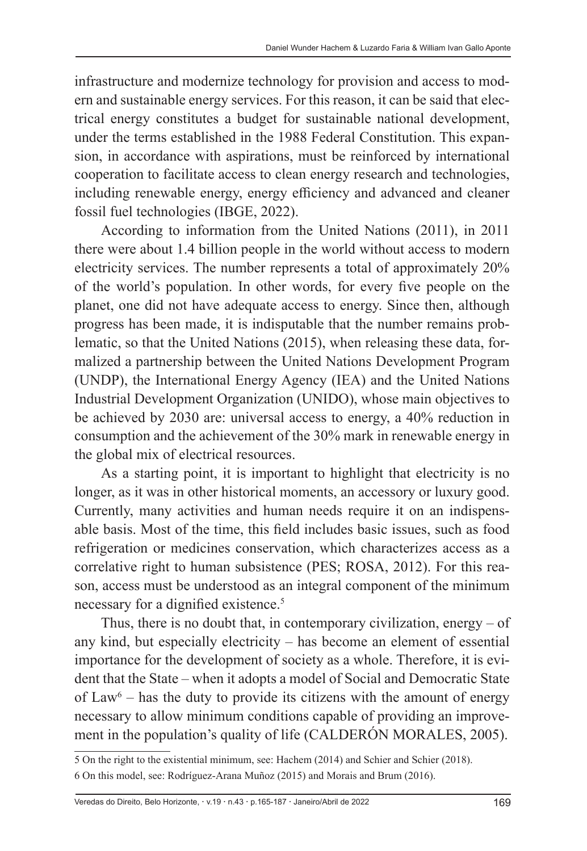infrastructure and modernize technology for provision and access to modern and sustainable energy services. For this reason, it can be said that electrical energy constitutes a budget for sustainable national development, under the terms established in the 1988 Federal Constitution. This expansion, in accordance with aspirations, must be reinforced by international cooperation to facilitate access to clean energy research and technologies, including renewable energy, energy efficiency and advanced and cleaner fossil fuel technologies (IBGE, 2022).

According to information from the United Nations (2011), in 2011 there were about 1.4 billion people in the world without access to modern electricity services. The number represents a total of approximately 20% of the world's population. In other words, for every five people on the planet, one did not have adequate access to energy. Since then, although progress has been made, it is indisputable that the number remains problematic, so that the United Nations (2015), when releasing these data, formalized a partnership between the United Nations Development Program (UNDP), the International Energy Agency (IEA) and the United Nations Industrial Development Organization (UNIDO), whose main objectives to be achieved by 2030 are: universal access to energy, a 40% reduction in consumption and the achievement of the 30% mark in renewable energy in the global mix of electrical resources.

As a starting point, it is important to highlight that electricity is no longer, as it was in other historical moments, an accessory or luxury good. Currently, many activities and human needs require it on an indispensable basis. Most of the time, this field includes basic issues, such as food refrigeration or medicines conservation, which characterizes access as a correlative right to human subsistence (PES; ROSA, 2012). For this reason, access must be understood as an integral component of the minimum necessary for a dignified existence.<sup>5</sup>

Thus, there is no doubt that, in contemporary civilization, energy  $-$  of any kind, but especially electricity – has become an element of essential importance for the development of society as a whole. Therefore, it is evident that the State – when it adopts a model of Social and Democratic State of  $Law<sup>6</sup>$  – has the duty to provide its citizens with the amount of energy necessary to allow minimum conditions capable of providing an improvement in the population's quality of life (CALDERÓN MORALES, 2005).

5 On the right to the existential minimum, see: Hachem (2014) and Schier and Schier (2018).

<sup>6</sup> On this model, see: Rodríguez-Arana Muñoz (2015) and Morais and Brum (2016).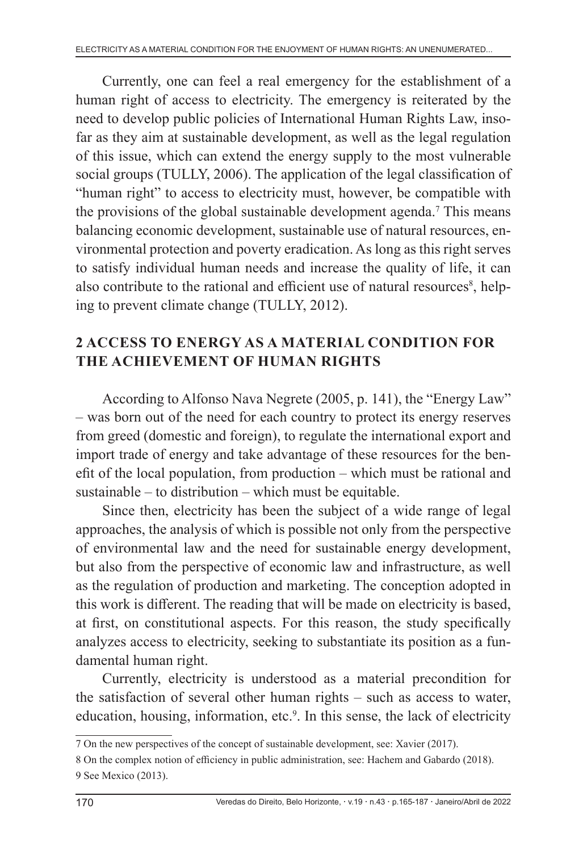Currently, one can feel a real emergency for the establishment of a human right of access to electricity. The emergency is reiterated by the need to develop public policies of International Human Rights Law, insofar as they aim at sustainable development, as well as the legal regulation of this issue, which can extend the energy supply to the most vulnerable social groups (TULLY, 2006). The application of the legal classification of "human right" to access to electricity must, however, be compatible with the provisions of the global sustainable development agenda.<sup>7</sup> This means balancing economic development, sustainable use of natural resources, environmental protection and poverty eradication. As long as this right serves to satisfy individual human needs and increase the quality of life, it can also contribute to the rational and efficient use of natural resources<sup>8</sup>, helping to prevent climate change (TULLY, 2012).

# **2 ACCESS TO ENERGY AS A MATERIAL CONDITION FOR THE ACHIEVEMENT OF HUMAN RIGHTS**

According to Alfonso Nava Negrete (2005, p. 141), the "Energy Law" – was born out of the need for each country to protect its energy reserves from greed (domestic and foreign), to regulate the international export and import trade of energy and take advantage of these resources for the benefit of the local population, from production – which must be rational and sustainable – to distribution – which must be equitable.

Since then, electricity has been the subject of a wide range of legal approaches, the analysis of which is possible not only from the perspective of environmental law and the need for sustainable energy development, but also from the perspective of economic law and infrastructure, as well as the regulation of production and marketing. The conception adopted in this work is different. The reading that will be made on electricity is based, at first, on constitutional aspects. For this reason, the study specifically analyzes access to electricity, seeking to substantiate its position as a fundamental human right.

Currently, electricity is understood as a material precondition for the satisfaction of several other human rights – such as access to water, education, housing, information, etc.<sup>9</sup>. In this sense, the lack of electricity

<sup>7</sup> On the new perspectives of the concept of sustainable development, see: Xavier (2017).

<sup>8</sup> On the complex notion of efficiency in public administration, see: Hachem and Gabardo (2018). 9 See Mexico (2013).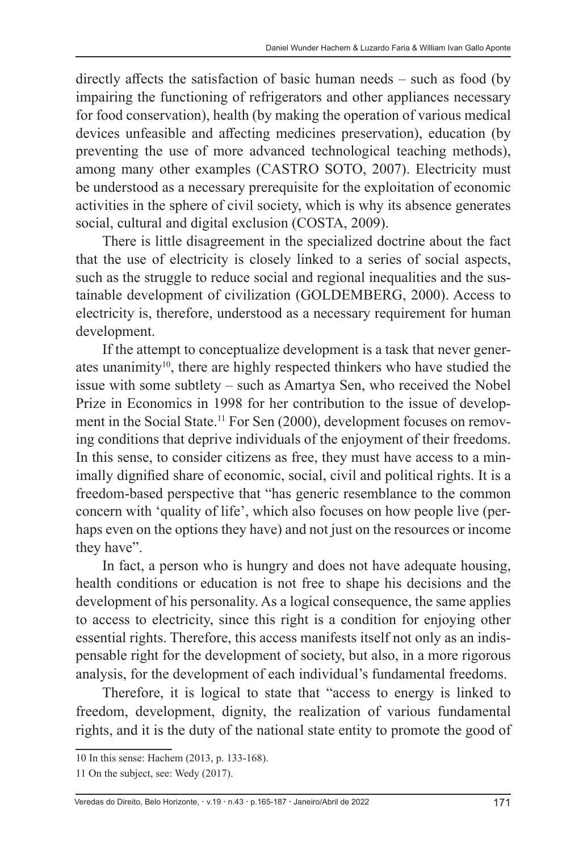directly affects the satisfaction of basic human needs – such as food (by impairing the functioning of refrigerators and other appliances necessary for food conservation), health (by making the operation of various medical devices unfeasible and affecting medicines preservation), education (by preventing the use of more advanced technological teaching methods), among many other examples (CASTRO SOTO, 2007). Electricity must be understood as a necessary prerequisite for the exploitation of economic activities in the sphere of civil society, which is why its absence generates social, cultural and digital exclusion (COSTA, 2009).

There is little disagreement in the specialized doctrine about the fact that the use of electricity is closely linked to a series of social aspects, such as the struggle to reduce social and regional inequalities and the sustainable development of civilization (GOLDEMBERG, 2000). Access to electricity is, therefore, understood as a necessary requirement for human development.

If the attempt to conceptualize development is a task that never generates unanimity10, there are highly respected thinkers who have studied the issue with some subtlety – such as Amartya Sen, who received the Nobel Prize in Economics in 1998 for her contribution to the issue of development in the Social State.<sup>11</sup> For Sen (2000), development focuses on removing conditions that deprive individuals of the enjoyment of their freedoms. In this sense, to consider citizens as free, they must have access to a minimally dignified share of economic, social, civil and political rights. It is a freedom-based perspective that "has generic resemblance to the common concern with 'quality of life', which also focuses on how people live (perhaps even on the options they have) and not just on the resources or income they have".

In fact, a person who is hungry and does not have adequate housing, health conditions or education is not free to shape his decisions and the development of his personality. As a logical consequence, the same applies to access to electricity, since this right is a condition for enjoying other essential rights. Therefore, this access manifests itself not only as an indispensable right for the development of society, but also, in a more rigorous analysis, for the development of each individual's fundamental freedoms.

Therefore, it is logical to state that "access to energy is linked to freedom, development, dignity, the realization of various fundamental rights, and it is the duty of the national state entity to promote the good of

<sup>10</sup> In this sense: Hachem (2013, p. 133-168).

<sup>11</sup> On the subject, see: Wedy (2017).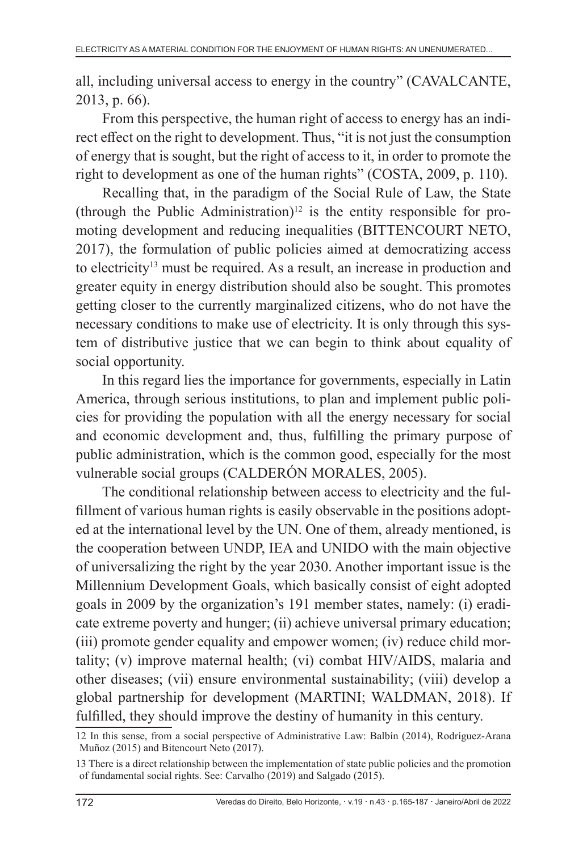all, including universal access to energy in the country" (CAVALCANTE, 2013, p. 66).

From this perspective, the human right of access to energy has an indirect effect on the right to development. Thus, "it is not just the consumption of energy that is sought, but the right of access to it, in order to promote the right to development as one of the human rights" (COSTA, 2009, p. 110).

Recalling that, in the paradigm of the Social Rule of Law, the State (through the Public Administration)<sup>12</sup> is the entity responsible for promoting development and reducing inequalities (BITTENCOURT NETO, 2017), the formulation of public policies aimed at democratizing access to electricity<sup>13</sup> must be required. As a result, an increase in production and greater equity in energy distribution should also be sought. This promotes getting closer to the currently marginalized citizens, who do not have the necessary conditions to make use of electricity. It is only through this system of distributive justice that we can begin to think about equality of social opportunity.

In this regard lies the importance for governments, especially in Latin America, through serious institutions, to plan and implement public policies for providing the population with all the energy necessary for social and economic development and, thus, fulfilling the primary purpose of public administration, which is the common good, especially for the most vulnerable social groups (CALDERÓN MORALES, 2005).

The conditional relationship between access to electricity and the fulfillment of various human rights is easily observable in the positions adopted at the international level by the UN. One of them, already mentioned, is the cooperation between UNDP, IEA and UNIDO with the main objective of universalizing the right by the year 2030. Another important issue is the Millennium Development Goals, which basically consist of eight adopted goals in 2009 by the organization's 191 member states, namely: (i) eradicate extreme poverty and hunger; (ii) achieve universal primary education; (iii) promote gender equality and empower women; (iv) reduce child mortality; (v) improve maternal health; (vi) combat HIV/AIDS, malaria and other diseases; (vii) ensure environmental sustainability; (viii) develop a global partnership for development (MARTINI; WALDMAN, 2018). If fulfilled, they should improve the destiny of humanity in this century.

<sup>12</sup> In this sense, from a social perspective of Administrative Law: Balbín (2014), Rodríguez-Arana Muñoz (2015) and Bitencourt Neto (2017).

<sup>13</sup> There is a direct relationship between the implementation of state public policies and the promotion of fundamental social rights. See: Carvalho (2019) and Salgado (2015).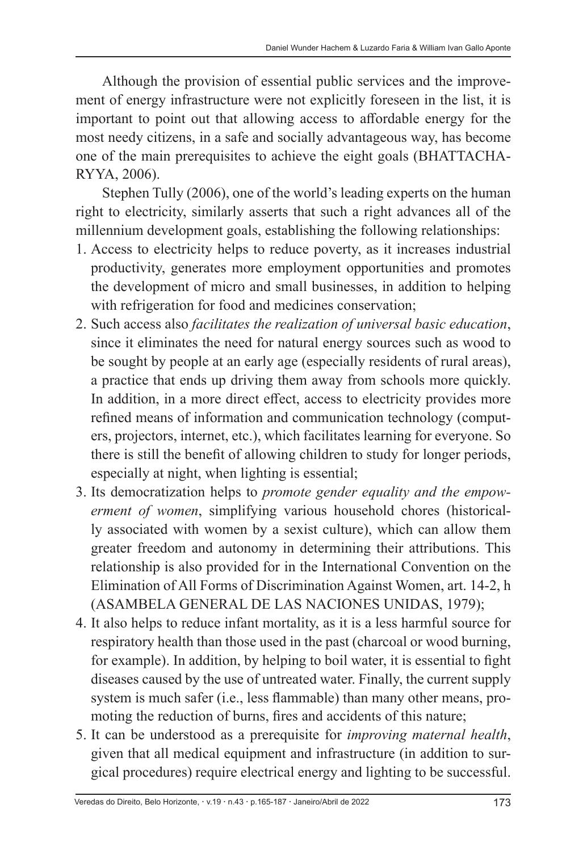Although the provision of essential public services and the improvement of energy infrastructure were not explicitly foreseen in the list, it is important to point out that allowing access to affordable energy for the most needy citizens, in a safe and socially advantageous way, has become one of the main prerequisites to achieve the eight goals (BHATTACHA-RYYA, 2006).

Stephen Tully (2006), one of the world's leading experts on the human right to electricity, similarly asserts that such a right advances all of the millennium development goals, establishing the following relationships:

- 1. Access to electricity helps to reduce poverty, as it increases industrial productivity, generates more employment opportunities and promotes the development of micro and small businesses, in addition to helping with refrigeration for food and medicines conservation;
- 2. Such access also *facilitates the realization of universal basic education*, since it eliminates the need for natural energy sources such as wood to be sought by people at an early age (especially residents of rural areas), a practice that ends up driving them away from schools more quickly. In addition, in a more direct effect, access to electricity provides more refined means of information and communication technology (computers, projectors, internet, etc.), which facilitates learning for everyone. So there is still the benefit of allowing children to study for longer periods, especially at night, when lighting is essential;
- 3. Its democratization helps to *promote gender equality and the empowerment of women*, simplifying various household chores (historically associated with women by a sexist culture), which can allow them greater freedom and autonomy in determining their attributions. This relationship is also provided for in the International Convention on the Elimination of All Forms of Discrimination Against Women, art. 14-2, h (ASAMBELA GENERAL DE LAS NACIONES UNIDAS, 1979);
- 4. It also helps to reduce infant mortality, as it is a less harmful source for respiratory health than those used in the past (charcoal or wood burning, for example). In addition, by helping to boil water, it is essential to fight diseases caused by the use of untreated water. Finally, the current supply system is much safer (i.e., less flammable) than many other means, promoting the reduction of burns, fires and accidents of this nature;
- 5. It can be understood as a prerequisite for *improving maternal health*, given that all medical equipment and infrastructure (in addition to surgical procedures) require electrical energy and lighting to be successful.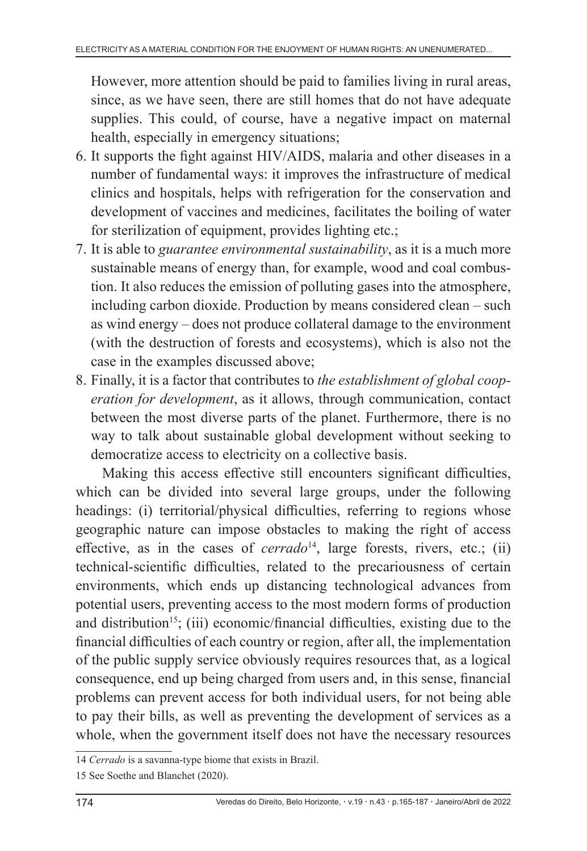However, more attention should be paid to families living in rural areas, since, as we have seen, there are still homes that do not have adequate supplies. This could, of course, have a negative impact on maternal health, especially in emergency situations;

- 6. It supports the fight against HIV/AIDS, malaria and other diseases in a number of fundamental ways: it improves the infrastructure of medical clinics and hospitals, helps with refrigeration for the conservation and development of vaccines and medicines, facilitates the boiling of water for sterilization of equipment, provides lighting etc.;
- 7. It is able to *guarantee environmental sustainability*, as it is a much more sustainable means of energy than, for example, wood and coal combustion. It also reduces the emission of polluting gases into the atmosphere, including carbon dioxide. Production by means considered clean – such as wind energy – does not produce collateral damage to the environment (with the destruction of forests and ecosystems), which is also not the case in the examples discussed above;
- 8. Finally, it is a factor that contributes to *the establishment of global cooperation for development*, as it allows, through communication, contact between the most diverse parts of the planet. Furthermore, there is no way to talk about sustainable global development without seeking to democratize access to electricity on a collective basis.

Making this access effective still encounters significant difficulties, which can be divided into several large groups, under the following headings: (i) territorial/physical difficulties, referring to regions whose geographic nature can impose obstacles to making the right of access effective, as in the cases of *cerrado*<sup>14</sup>, large forests, rivers, etc.; (ii) technical-scientific difficulties, related to the precariousness of certain environments, which ends up distancing technological advances from potential users, preventing access to the most modern forms of production and distribution<sup>15</sup>; (iii) economic/financial difficulties, existing due to the financial difficulties of each country or region, after all, the implementation of the public supply service obviously requires resources that, as a logical consequence, end up being charged from users and, in this sense, financial problems can prevent access for both individual users, for not being able to pay their bills, as well as preventing the development of services as a whole, when the government itself does not have the necessary resources

<sup>14</sup> *Cerrado* is a savanna-type biome that exists in Brazil.

<sup>15</sup> See Soethe and Blanchet (2020).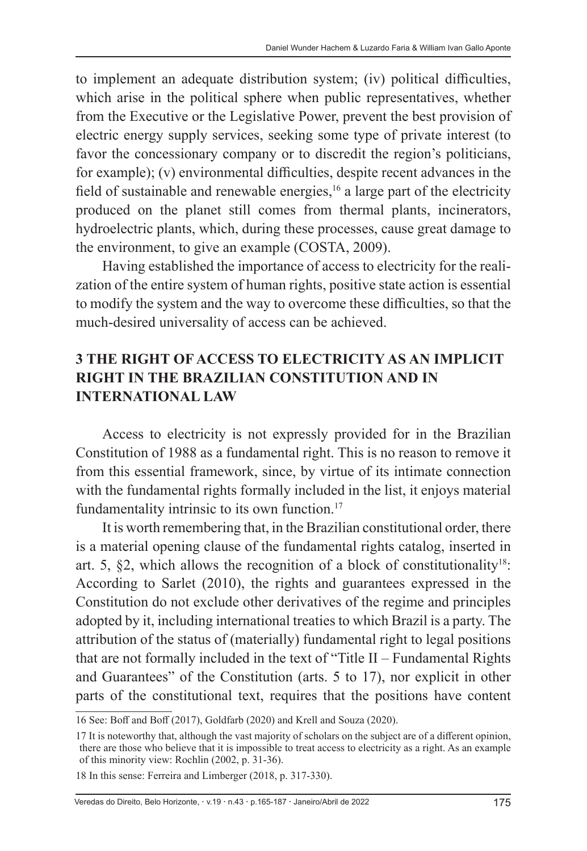to implement an adequate distribution system; (iv) political difficulties, which arise in the political sphere when public representatives, whether from the Executive or the Legislative Power, prevent the best provision of electric energy supply services, seeking some type of private interest (to favor the concessionary company or to discredit the region's politicians, for example); (v) environmental difficulties, despite recent advances in the field of sustainable and renewable energies,<sup>16</sup> a large part of the electricity produced on the planet still comes from thermal plants, incinerators, hydroelectric plants, which, during these processes, cause great damage to the environment, to give an example (COSTA, 2009).

Having established the importance of access to electricity for the realization of the entire system of human rights, positive state action is essential to modify the system and the way to overcome these difficulties, so that the much-desired universality of access can be achieved.

# **3 THE RIGHT OF ACCESS TO ELECTRICITY AS AN IMPLICIT RIGHT IN THE BRAZILIAN CONSTITUTION AND IN INTERNATIONAL LAW**

Access to electricity is not expressly provided for in the Brazilian Constitution of 1988 as a fundamental right. This is no reason to remove it from this essential framework, since, by virtue of its intimate connection with the fundamental rights formally included in the list, it enjoys material fundamentality intrinsic to its own function.<sup>17</sup>

It is worth remembering that, in the Brazilian constitutional order, there is a material opening clause of the fundamental rights catalog, inserted in art. 5,  $\S2$ , which allows the recognition of a block of constitutionality<sup>18</sup>: According to Sarlet (2010), the rights and guarantees expressed in the Constitution do not exclude other derivatives of the regime and principles adopted by it, including international treaties to which Brazil is a party. The attribution of the status of (materially) fundamental right to legal positions that are not formally included in the text of "Title II – Fundamental Rights and Guarantees" of the Constitution (arts. 5 to 17), nor explicit in other parts of the constitutional text, requires that the positions have content

<sup>16</sup> See: Boff and Boff (2017), Goldfarb (2020) and Krell and Souza (2020).

<sup>17</sup> It is noteworthy that, although the vast majority of scholars on the subject are of a different opinion, there are those who believe that it is impossible to treat access to electricity as a right. As an example of this minority view: Rochlin (2002, p. 31-36).

<sup>18</sup> In this sense: Ferreira and Limberger (2018, p. 317-330).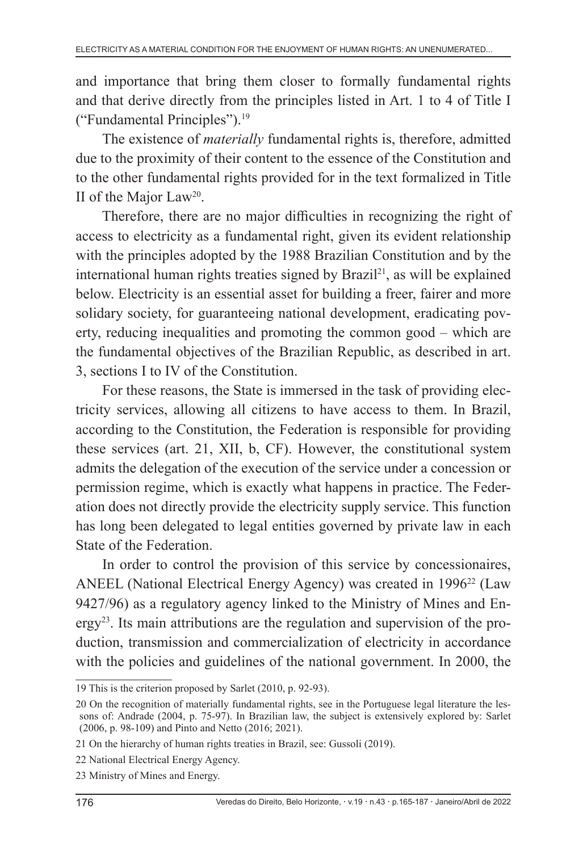and importance that bring them closer to formally fundamental rights and that derive directly from the principles listed in Art. 1 to 4 of Title I ("Fundamental Principles").19

The existence of *materially* fundamental rights is, therefore, admitted due to the proximity of their content to the essence of the Constitution and to the other fundamental rights provided for in the text formalized in Title II of the Major Law20.

Therefore, there are no major difficulties in recognizing the right of access to electricity as a fundamental right, given its evident relationship with the principles adopted by the 1988 Brazilian Constitution and by the international human rights treaties signed by Brazil<sup>21</sup>, as will be explained below. Electricity is an essential asset for building a freer, fairer and more solidary society, for guaranteeing national development, eradicating poverty, reducing inequalities and promoting the common good – which are the fundamental objectives of the Brazilian Republic, as described in art. 3, sections I to IV of the Constitution.

For these reasons, the State is immersed in the task of providing electricity services, allowing all citizens to have access to them. In Brazil, according to the Constitution, the Federation is responsible for providing these services (art. 21, XII, b, CF). However, the constitutional system admits the delegation of the execution of the service under a concession or permission regime, which is exactly what happens in practice. The Federation does not directly provide the electricity supply service. This function has long been delegated to legal entities governed by private law in each State of the Federation.

In order to control the provision of this service by concessionaires, ANEEL (National Electrical Energy Agency) was created in 1996<sup>22</sup> (Law 9427/96) as a regulatory agency linked to the Ministry of Mines and Energy23. Its main attributions are the regulation and supervision of the production, transmission and commercialization of electricity in accordance with the policies and guidelines of the national government. In 2000, the

<sup>19</sup> This is the criterion proposed by Sarlet (2010, p. 92-93).

<sup>20</sup> On the recognition of materially fundamental rights, see in the Portuguese legal literature the lessons of: Andrade (2004, p. 75-97). In Brazilian law, the subject is extensively explored by: Sarlet (2006, p. 98-109) and Pinto and Netto (2016; 2021).

<sup>21</sup> On the hierarchy of human rights treaties in Brazil, see: Gussoli (2019).

<sup>22</sup> National Electrical Energy Agency.

<sup>23</sup> Ministry of Mines and Energy.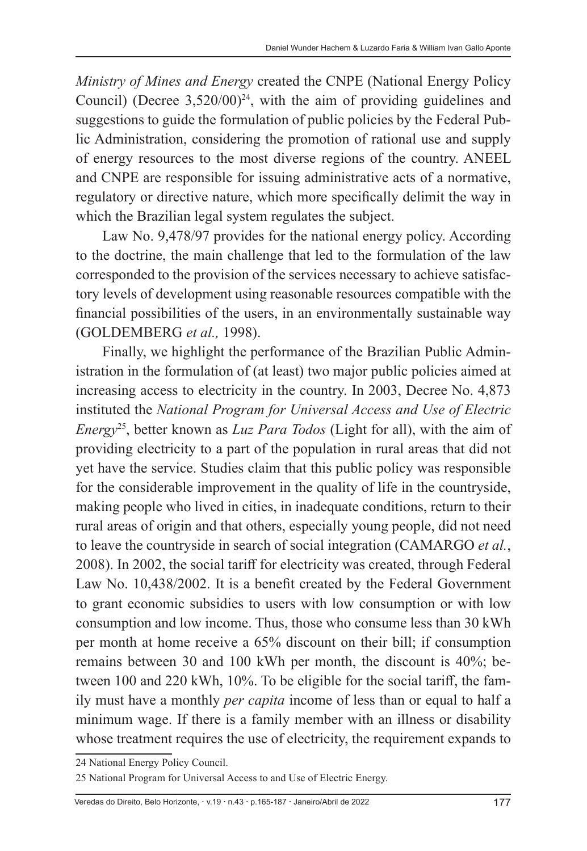*Ministry of Mines and Energy* created the CNPE (National Energy Policy Council) (Decree  $3,520/00$ <sup>24</sup>, with the aim of providing guidelines and suggestions to guide the formulation of public policies by the Federal Public Administration, considering the promotion of rational use and supply of energy resources to the most diverse regions of the country. ANEEL and CNPE are responsible for issuing administrative acts of a normative, regulatory or directive nature, which more specifically delimit the way in which the Brazilian legal system regulates the subject.

Law No. 9,478/97 provides for the national energy policy. According to the doctrine, the main challenge that led to the formulation of the law corresponded to the provision of the services necessary to achieve satisfactory levels of development using reasonable resources compatible with the financial possibilities of the users, in an environmentally sustainable way (GOLDEMBERG *et al.,* 1998).

Finally, we highlight the performance of the Brazilian Public Administration in the formulation of (at least) two major public policies aimed at increasing access to electricity in the country. In 2003, Decree No. 4,873 instituted the *National Program for Universal Access and Use of Electric Energy*<sup>25</sup>, better known as *Luz Para Todos* (Light for all), with the aim of providing electricity to a part of the population in rural areas that did not yet have the service. Studies claim that this public policy was responsible for the considerable improvement in the quality of life in the countryside, making people who lived in cities, in inadequate conditions, return to their rural areas of origin and that others, especially young people, did not need to leave the countryside in search of social integration (CAMARGO *et al.*, 2008). In 2002, the social tariff for electricity was created, through Federal Law No. 10,438/2002. It is a benefit created by the Federal Government to grant economic subsidies to users with low consumption or with low consumption and low income. Thus, those who consume less than 30 kWh per month at home receive a 65% discount on their bill; if consumption remains between 30 and 100 kWh per month, the discount is 40%; between 100 and 220 kWh, 10%. To be eligible for the social tariff, the family must have a monthly *per capita* income of less than or equal to half a minimum wage. If there is a family member with an illness or disability whose treatment requires the use of electricity, the requirement expands to

<sup>24</sup> National Energy Policy Council.

<sup>25</sup> National Program for Universal Access to and Use of Electric Energy.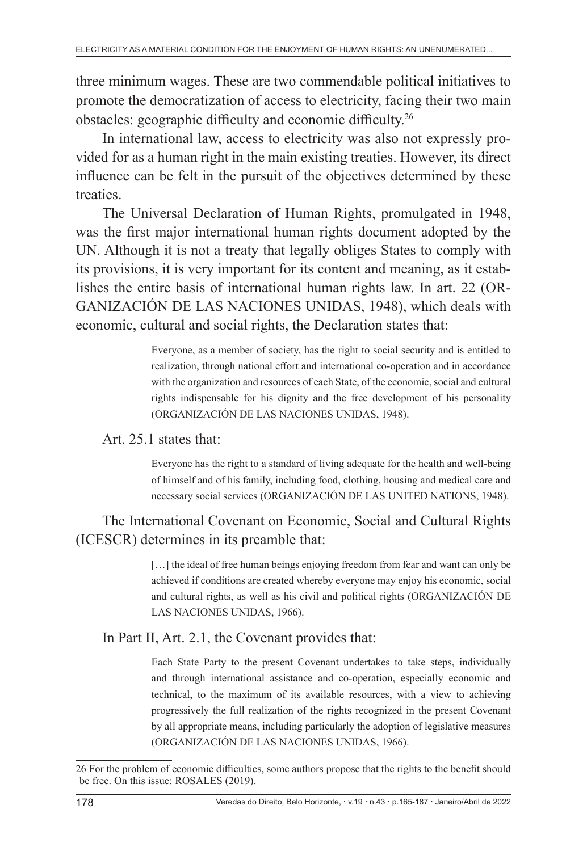three minimum wages. These are two commendable political initiatives to promote the democratization of access to electricity, facing their two main obstacles: geographic difficulty and economic difficulty.<sup>26</sup>

In international law, access to electricity was also not expressly provided for as a human right in the main existing treaties. However, its direct influence can be felt in the pursuit of the objectives determined by these treaties.

The Universal Declaration of Human Rights, promulgated in 1948, was the first major international human rights document adopted by the UN. Although it is not a treaty that legally obliges States to comply with its provisions, it is very important for its content and meaning, as it establishes the entire basis of international human rights law. In art. 22 (OR-GANIZACIÓN DE LAS NACIONES UNIDAS, 1948), which deals with economic, cultural and social rights, the Declaration states that:

> Everyone, as a member of society, has the right to social security and is entitled to realization, through national effort and international co-operation and in accordance with the organization and resources of each State, of the economic, social and cultural rights indispensable for his dignity and the free development of his personality (ORGANIZACIÓN DE LAS NACIONES UNIDAS, 1948).

#### Art. 25.1 states that:

Everyone has the right to a standard of living adequate for the health and well-being of himself and of his family, including food, clothing, housing and medical care and necessary social services (ORGANIZACIÓN DE LAS UNITED NATIONS, 1948).

## The International Covenant on Economic, Social and Cultural Rights (ICESCR) determines in its preamble that:

[...] the ideal of free human beings enjoying freedom from fear and want can only be achieved if conditions are created whereby everyone may enjoy his economic, social and cultural rights, as well as his civil and political rights (ORGANIZACIÓN DE LAS NACIONES UNIDAS, 1966).

### In Part II, Art. 2.1, the Covenant provides that:

Each State Party to the present Covenant undertakes to take steps, individually and through international assistance and co-operation, especially economic and technical, to the maximum of its available resources, with a view to achieving progressively the full realization of the rights recognized in the present Covenant by all appropriate means, including particularly the adoption of legislative measures (ORGANIZACIÓN DE LAS NACIONES UNIDAS, 1966).

<sup>26</sup> For the problem of economic difficulties, some authors propose that the rights to the benefit should be free. On this issue: ROSALES (2019).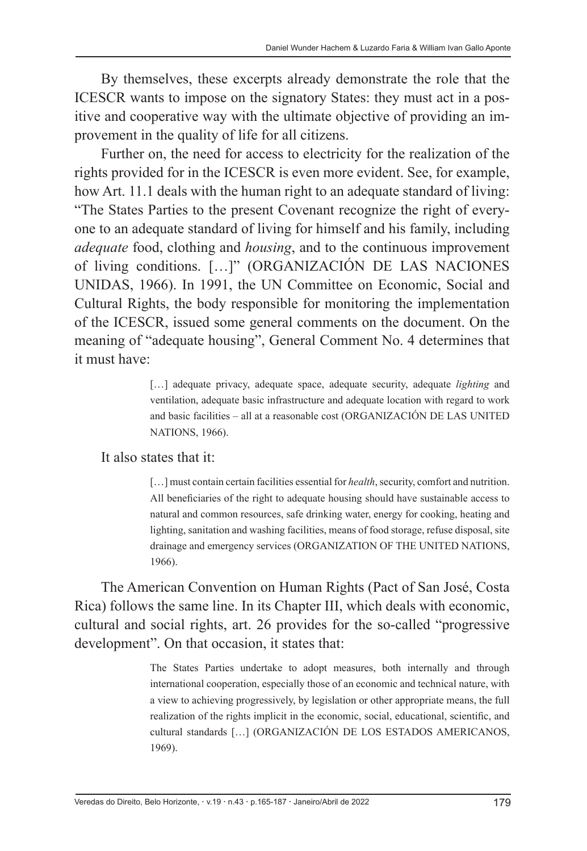By themselves, these excerpts already demonstrate the role that the ICESCR wants to impose on the signatory States: they must act in a positive and cooperative way with the ultimate objective of providing an improvement in the quality of life for all citizens.

Further on, the need for access to electricity for the realization of the rights provided for in the ICESCR is even more evident. See, for example, how Art. 11.1 deals with the human right to an adequate standard of living: "The States Parties to the present Covenant recognize the right of everyone to an adequate standard of living for himself and his family, including *adequate* food, clothing and *housing*, and to the continuous improvement of living conditions. […]" (ORGANIZACIÓN DE LAS NACIONES UNIDAS, 1966). In 1991, the UN Committee on Economic, Social and Cultural Rights, the body responsible for monitoring the implementation of the ICESCR, issued some general comments on the document. On the meaning of "adequate housing", General Comment No. 4 determines that it must have:

> [...] adequate privacy, adequate space, adequate security, adequate *lighting* and ventilation, adequate basic infrastructure and adequate location with regard to work and basic facilities – all at a reasonable cost (ORGANIZACIÓN DE LAS UNITED NATIONS, 1966).

#### It also states that it:

[...] must contain certain facilities essential for *health*, security, comfort and nutrition. All beneficiaries of the right to adequate housing should have sustainable access to natural and common resources, safe drinking water, energy for cooking, heating and lighting, sanitation and washing facilities, means of food storage, refuse disposal, site drainage and emergency services (ORGANIZATION OF THE UNITED NATIONS, 1966).

The American Convention on Human Rights (Pact of San José, Costa Rica) follows the same line. In its Chapter III, which deals with economic, cultural and social rights, art. 26 provides for the so-called "progressive development". On that occasion, it states that:

> The States Parties undertake to adopt measures, both internally and through international cooperation, especially those of an economic and technical nature, with a view to achieving progressively, by legislation or other appropriate means, the full realization of the rights implicit in the economic, social, educational, scientific, and cultural standards […] (ORGANIZACIÓN DE LOS ESTADOS AMERICANOS, 1969).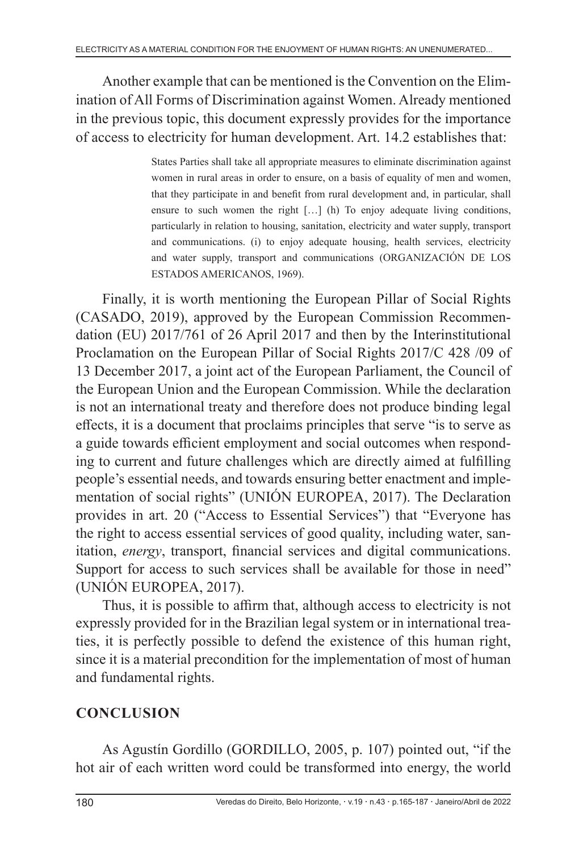Another example that can be mentioned is the Convention on the Elimination of All Forms of Discrimination against Women. Already mentioned in the previous topic, this document expressly provides for the importance of access to electricity for human development. Art. 14.2 establishes that:

> States Parties shall take all appropriate measures to eliminate discrimination against women in rural areas in order to ensure, on a basis of equality of men and women, that they participate in and benefit from rural development and, in particular, shall ensure to such women the right […] (h) To enjoy adequate living conditions, particularly in relation to housing, sanitation, electricity and water supply, transport and communications. (i) to enjoy adequate housing, health services, electricity and water supply, transport and communications (ORGANIZACIÓN DE LOS ESTADOS AMERICANOS, 1969).

Finally, it is worth mentioning the European Pillar of Social Rights (CASADO, 2019), approved by the European Commission Recommendation (EU) 2017/761 of 26 April 2017 and then by the Interinstitutional Proclamation on the European Pillar of Social Rights 2017/C 428 /09 of 13 December 2017, a joint act of the European Parliament, the Council of the European Union and the European Commission. While the declaration is not an international treaty and therefore does not produce binding legal effects, it is a document that proclaims principles that serve "is to serve as a guide towards efficient employment and social outcomes when responding to current and future challenges which are directly aimed at fulfilling people's essential needs, and towards ensuring better enactment and implementation of social rights" (UNIÓN EUROPEA, 2017). The Declaration provides in art. 20 ("Access to Essential Services") that "Everyone has the right to access essential services of good quality, including water, sanitation, *energy*, transport, financial services and digital communications. Support for access to such services shall be available for those in need" (UNIÓN EUROPEA, 2017).

Thus, it is possible to affirm that, although access to electricity is not expressly provided for in the Brazilian legal system or in international treaties, it is perfectly possible to defend the existence of this human right, since it is a material precondition for the implementation of most of human and fundamental rights.

## **CONCLUSION**

As Agustín Gordillo (GORDILLO, 2005, p. 107) pointed out, "if the hot air of each written word could be transformed into energy, the world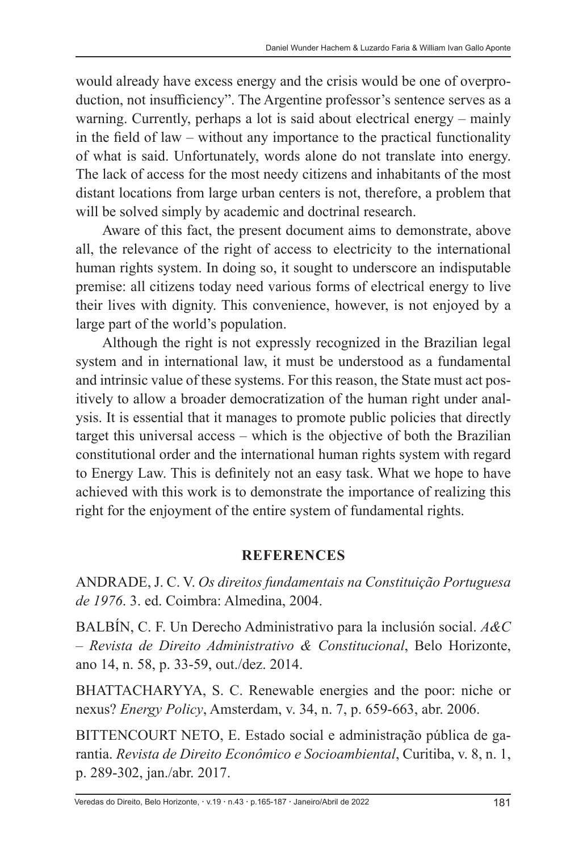would already have excess energy and the crisis would be one of overproduction, not insufficiency". The Argentine professor's sentence serves as a warning. Currently, perhaps a lot is said about electrical energy – mainly in the field of law – without any importance to the practical functionality of what is said. Unfortunately, words alone do not translate into energy. The lack of access for the most needy citizens and inhabitants of the most distant locations from large urban centers is not, therefore, a problem that will be solved simply by academic and doctrinal research.

Aware of this fact, the present document aims to demonstrate, above all, the relevance of the right of access to electricity to the international human rights system. In doing so, it sought to underscore an indisputable premise: all citizens today need various forms of electrical energy to live their lives with dignity. This convenience, however, is not enjoyed by a large part of the world's population.

Although the right is not expressly recognized in the Brazilian legal system and in international law, it must be understood as a fundamental and intrinsic value of these systems. For this reason, the State must act positively to allow a broader democratization of the human right under analysis. It is essential that it manages to promote public policies that directly target this universal access – which is the objective of both the Brazilian constitutional order and the international human rights system with regard to Energy Law. This is definitely not an easy task. What we hope to have achieved with this work is to demonstrate the importance of realizing this right for the enjoyment of the entire system of fundamental rights.

### **REFERENCES**

ANDRADE, J. C. V. *Os direitos fundamentais na Constituição Portuguesa de 1976*. 3. ed. Coimbra: Almedina, 2004.

BALBÍN, C. F. Un Derecho Administrativo para la inclusión social. *A&C – Revista de Direito Administrativo & Constitucional*, Belo Horizonte, ano 14, n. 58, p. 33-59, out./dez. 2014.

BHATTACHARYYA, S. C. Renewable energies and the poor: niche or nexus? *Energy Policy*, Amsterdam, v. 34, n. 7, p. 659-663, abr. 2006.

BITTENCOURT NETO, E. Estado social e administração pública de garantia. *Revista de Direito Econômico e Socioambiental*, Curitiba, v. 8, n. 1, p. 289-302, jan./abr. 2017.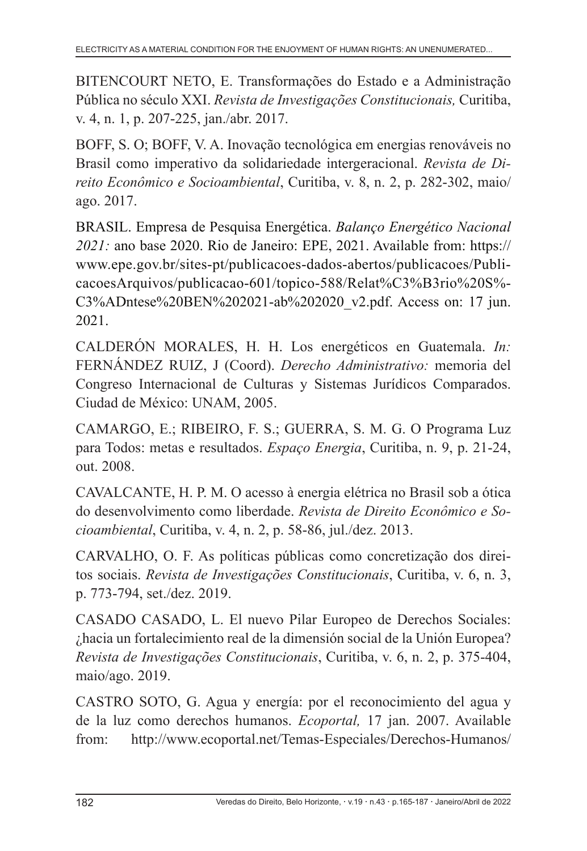BITENCOURT NETO, E. Transformações do Estado e a Administração Pública no século XXI. *Revista de Investigações Constitucionais,* Curitiba, v. 4, n. 1, p. 207-225, jan./abr. 2017.

BOFF, S. O; BOFF, V. A. Inovação tecnológica em energias renováveis no Brasil como imperativo da solidariedade intergeracional. *Revista de Direito Econômico e Socioambiental*, Curitiba, v. 8, n. 2, p. 282-302, maio/ ago. 2017.

BRASIL. Empresa de Pesquisa Energética. *Balanço Energético Nacional 2021:* ano base 2020. Rio de Janeiro: EPE, 2021. Available from: https:// www.epe.gov.br/sites-pt/publicacoes-dados-abertos/publicacoes/PublicacoesArquivos/publicacao-601/topico-588/Relat%C3%B3rio%20S%- C3%ADntese%20BEN%202021-ab%202020\_v2.pdf. Access on: 17 jun. 2021.

CALDERÓN MORALES, H. H. Los energéticos en Guatemala. *In:* FERNÁNDEZ RUIZ, J (Coord). *Derecho Administrativo:* memoria del Congreso Internacional de Culturas y Sistemas Jurídicos Comparados. Ciudad de México: UNAM, 2005.

CAMARGO, E.; RIBEIRO, F. S.; GUERRA, S. M. G. O Programa Luz para Todos: metas e resultados. *Espaço Energia*, Curitiba, n. 9, p. 21-24, out. 2008.

CAVALCANTE, H. P. M. O acesso à energia elétrica no Brasil sob a ótica do desenvolvimento como liberdade. *Revista de Direito Econômico e Socioambiental*, Curitiba, v. 4, n. 2, p. 58-86, jul./dez. 2013.

CARVALHO, O. F. As políticas públicas como concretização dos direitos sociais. *Revista de Investigações Constitucionais*, Curitiba, v. 6, n. 3, p. 773-794, set./dez. 2019.

CASADO CASADO, L. El nuevo Pilar Europeo de Derechos Sociales: ¿hacia un fortalecimiento real de la dimensión social de la Unión Europea? *Revista de Investigações Constitucionais*, Curitiba, v. 6, n. 2, p. 375-404, maio/ago. 2019.

CASTRO SOTO, G. Agua y energía: por el reconocimiento del agua y de la luz como derechos humanos. *Ecoportal,* 17 jan. 2007. Available from: http://www.ecoportal.net/Temas-Especiales/Derechos-Humanos/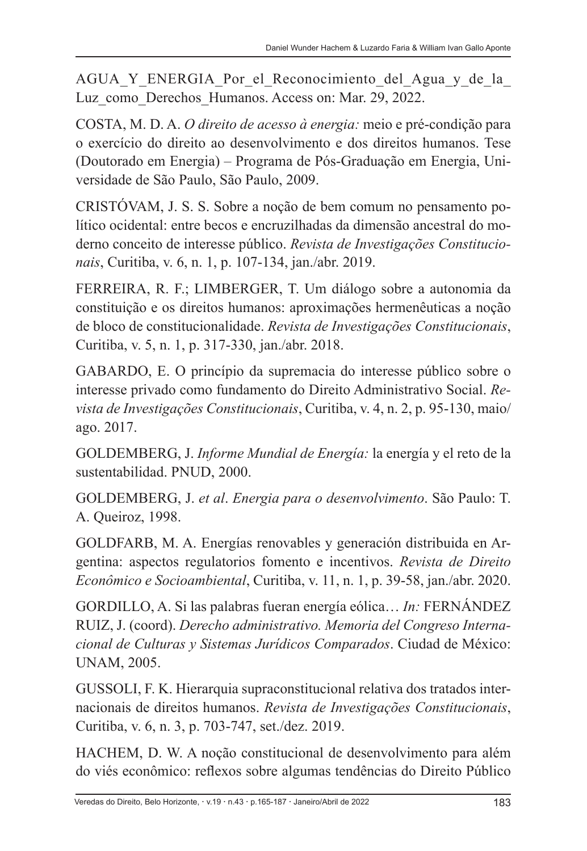AGUA\_Y\_ENERGIA\_Por\_el\_Reconocimiento\_del\_Agua\_y\_de\_la\_ Luz\_como\_Derechos\_Humanos. Access on: Mar. 29, 2022.

COSTA, M. D. A. *O direito de acesso à energia:* meio e pré-condição para o exercício do direito ao desenvolvimento e dos direitos humanos. Tese (Doutorado em Energia) – Programa de Pós-Graduação em Energia, Universidade de São Paulo, São Paulo, 2009.

CRISTÓVAM, J. S. S. Sobre a noção de bem comum no pensamento político ocidental: entre becos e encruzilhadas da dimensão ancestral do moderno conceito de interesse público. *Revista de Investigações Constitucionais*, Curitiba, v. 6, n. 1, p. 107-134, jan./abr. 2019.

FERREIRA, R. F.; LIMBERGER, T. Um diálogo sobre a autonomia da constituição e os direitos humanos: aproximações hermenêuticas a noção de bloco de constitucionalidade. *Revista de Investigações Constitucionais*, Curitiba, v. 5, n. 1, p. 317-330, jan./abr. 2018.

GABARDO, E. O princípio da supremacia do interesse público sobre o interesse privado como fundamento do Direito Administrativo Social. *Revista de Investigações Constitucionais*, Curitiba, v. 4, n. 2, p. 95-130, maio/ ago. 2017.

GOLDEMBERG, J. *Informe Mundial de Energía:* la energía y el reto de la sustentabilidad. PNUD, 2000.

GOLDEMBERG, J. *et al*. *Energia para o desenvolvimento*. São Paulo: T. A. Queiroz, 1998.

GOLDFARB, M. A. Energías renovables y generación distribuida en Argentina: aspectos regulatorios fomento e incentivos. *Revista de Direito Econômico e Socioambiental*, Curitiba, v. 11, n. 1, p. 39-58, jan./abr. 2020.

GORDILLO, A. Si las palabras fueran energía eólica… *In:* FERNÁNDEZ RUIZ, J. (coord). *Derecho administrativo. Memoria del Congreso Internacional de Culturas y Sistemas Jurídicos Comparados*. Ciudad de México: UNAM, 2005.

GUSSOLI, F. K. Hierarquia supraconstitucional relativa dos tratados internacionais de direitos humanos. *Revista de Investigações Constitucionais*, Curitiba, v. 6, n. 3, p. 703-747, set./dez. 2019.

HACHEM, D. W. A noção constitucional de desenvolvimento para além do viés econômico: reflexos sobre algumas tendências do Direito Público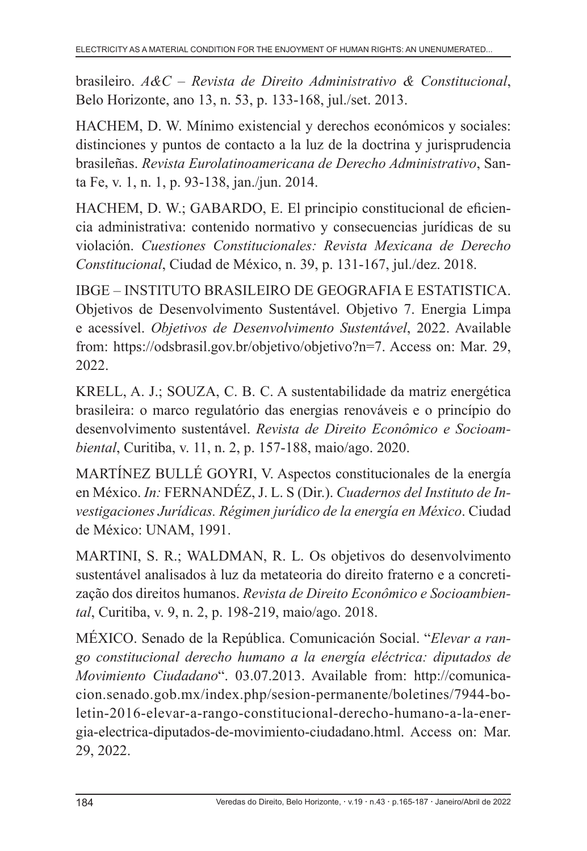brasileiro. *A&C – Revista de Direito Administrativo & Constitucional*, Belo Horizonte, ano 13, n. 53, p. 133-168, jul./set. 2013.

HACHEM, D. W. Mínimo existencial y derechos económicos y sociales: distinciones y puntos de contacto a la luz de la doctrina y jurisprudencia brasileñas. *Revista Eurolatinoamericana de Derecho Administrativo*, Santa Fe, v. 1, n. 1, p. 93-138, jan./jun. 2014.

HACHEM, D. W.; GABARDO, E. El principio constitucional de eficiencia administrativa: contenido normativo y consecuencias jurídicas de su violación. *Cuestiones Constitucionales: Revista Mexicana de Derecho Constitucional*, Ciudad de México, n. 39, p. 131-167, jul./dez. 2018.

IBGE – INSTITUTO BRASILEIRO DE GEOGRAFIA E ESTATISTICA. Objetivos de Desenvolvimento Sustentável. Objetivo 7. Energia Limpa e acessível. *Objetivos de Desenvolvimento Sustentável*, 2022. Available from: https://odsbrasil.gov.br/objetivo/objetivo?n=7. Access on: Mar. 29, 2022.

KRELL, A. J.; SOUZA, C. B. C. A sustentabilidade da matriz energética brasileira: o marco regulatório das energias renováveis e o princípio do desenvolvimento sustentável. *Revista de Direito Econômico e Socioambiental*, Curitiba, v. 11, n. 2, p. 157-188, maio/ago. 2020.

MARTÍNEZ BULLÉ GOYRI, V. Aspectos constitucionales de la energía en México. *In:* FERNANDÉZ, J. L. S (Dir.). *Cuadernos del Instituto de Investigaciones Jurídicas. Régimen jurídico de la energía en México*. Ciudad de México: UNAM, 1991.

MARTINI, S. R.; WALDMAN, R. L. Os objetivos do desenvolvimento sustentável analisados à luz da metateoria do direito fraterno e a concretização dos direitos humanos. *Revista de Direito Econômico e Socioambiental*, Curitiba, v. 9, n. 2, p. 198-219, maio/ago. 2018.

MÉXICO. Senado de la República. Comunicación Social. "*Elevar a rango constitucional derecho humano a la energía eléctrica: diputados de Movimiento Ciudadano*". 03.07.2013. Available from: http://comunicacion.senado.gob.mx/index.php/sesion-permanente/boletines/7944-boletin-2016-elevar-a-rango-constitucional-derecho-humano-a-la-energia-electrica-diputados-de-movimiento-ciudadano.html. Access on: Mar. 29, 2022.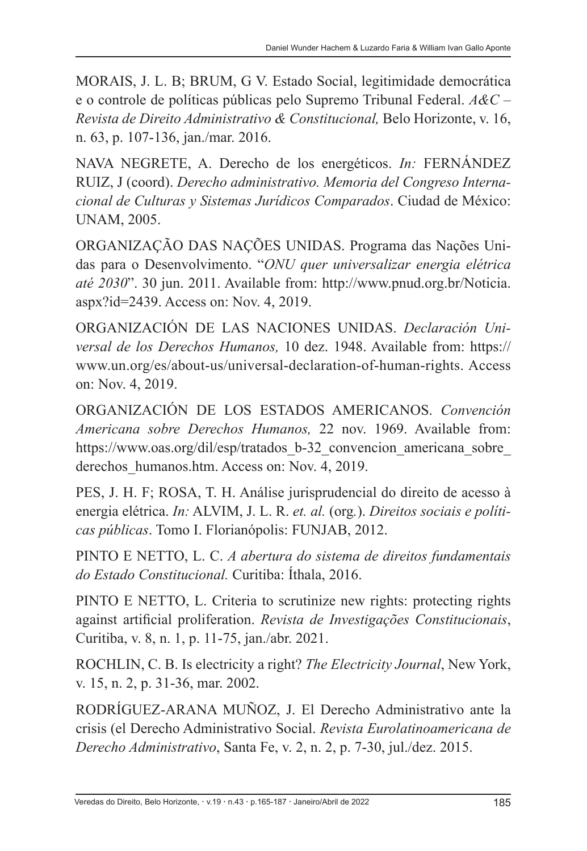MORAIS, J. L. B; BRUM, G V. Estado Social, legitimidade democrática e o controle de políticas públicas pelo Supremo Tribunal Federal. *A&C – Revista de Direito Administrativo & Constitucional,* Belo Horizonte, v. 16, n. 63, p. 107-136, jan./mar. 2016.

NAVA NEGRETE, A. Derecho de los energéticos. *In:* FERNÁNDEZ RUIZ, J (coord). *Derecho administrativo. Memoria del Congreso Internacional de Culturas y Sistemas Jurídicos Comparados*. Ciudad de México: UNAM, 2005.

ORGANIZAÇÃO DAS NAÇÕES UNIDAS. Programa das Nações Unidas para o Desenvolvimento. "*ONU quer universalizar energia elétrica até 2030*". 30 jun. 2011. Available from: http://www.pnud.org.br/Noticia. aspx?id=2439. Access on: Nov. 4, 2019.

ORGANIZACIÓN DE LAS NACIONES UNIDAS. *Declaración Universal de los Derechos Humanos,* 10 dez. 1948. Available from: https:// www.un.org/es/about-us/universal-declaration-of-human-rights. Access on: Nov. 4, 2019.

ORGANIZACIÓN DE LOS ESTADOS AMERICANOS. *Convención Americana sobre Derechos Humanos,* 22 nov. 1969. Available from: https://www.oas.org/dil/esp/tratados b-32 convencion americana sobre derechos humanos.htm. Access on: Nov. 4, 2019.

PES, J. H. F; ROSA, T. H. Análise jurisprudencial do direito de acesso à energia elétrica. *In:* ALVIM, J. L. R. *et. al.* (org*.*). *Direitos sociais e políticas públicas*. Tomo I. Florianópolis: FUNJAB, 2012.

PINTO E NETTO, L. C. *A abertura do sistema de direitos fundamentais do Estado Constitucional.* Curitiba: Íthala, 2016.

PINTO E NETTO, L. Criteria to scrutinize new rights: protecting rights against artificial proliferation. *Revista de Investigações Constitucionais*, Curitiba, v. 8, n. 1, p. 11-75, jan./abr. 2021.

ROCHLIN, C. B. Is electricity a right? *The Electricity Journal*, New York, v. 15, n. 2, p. 31-36, mar. 2002.

RODRÍGUEZ-ARANA MUÑOZ, J. El Derecho Administrativo ante la crisis (el Derecho Administrativo Social. *Revista Eurolatinoamericana de Derecho Administrativo*, Santa Fe, v. 2, n. 2, p. 7-30, jul./dez. 2015.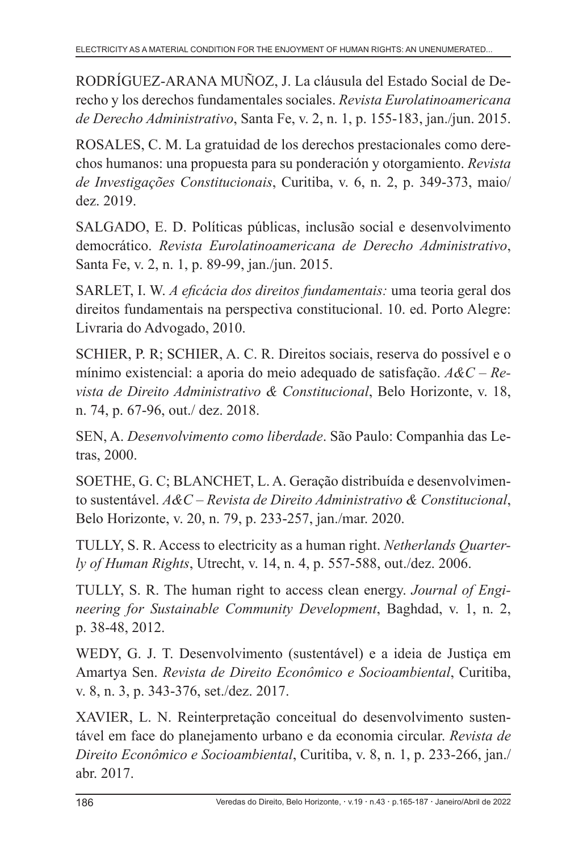RODRÍGUEZ-ARANA MUÑOZ, J. La cláusula del Estado Social de Derecho y los derechos fundamentales sociales. *Revista Eurolatinoamericana de Derecho Administrativo*, Santa Fe, v. 2, n. 1, p. 155-183, jan./jun. 2015.

ROSALES, C. M. La gratuidad de los derechos prestacionales como derechos humanos: una propuesta para su ponderación y otorgamiento. *Revista de Investigações Constitucionais*, Curitiba, v. 6, n. 2, p. 349-373, maio/ dez. 2019.

SALGADO, E. D. Políticas públicas, inclusão social e desenvolvimento democrático. *Revista Eurolatinoamericana de Derecho Administrativo*, Santa Fe, v. 2, n. 1, p. 89-99, jan./jun. 2015.

SARLET, I. W. *A eficácia dos direitos fundamentais:* uma teoria geral dos direitos fundamentais na perspectiva constitucional. 10. ed. Porto Alegre: Livraria do Advogado, 2010.

SCHIER, P. R; SCHIER, A. C. R. Direitos sociais, reserva do possível e o mínimo existencial: a aporia do meio adequado de satisfação. *A&C – Revista de Direito Administrativo & Constitucional*, Belo Horizonte, v. 18, n. 74, p. 67-96, out./ dez. 2018.

SEN, A. *Desenvolvimento como liberdade*. São Paulo: Companhia das Letras, 2000.

SOETHE, G. C; BLANCHET, L. A. Geração distribuída e desenvolvimento sustentável. *A&C – Revista de Direito Administrativo & Constitucional*, Belo Horizonte, v. 20, n. 79, p. 233-257, jan./mar. 2020.

TULLY, S. R. Access to electricity as a human right. *Netherlands Quarterly of Human Rights*, Utrecht, v. 14, n. 4, p. 557-588, out./dez. 2006.

TULLY, S. R. The human right to access clean energy. *Journal of Engineering for Sustainable Community Development*, Baghdad, v. 1, n. 2, p. 38-48, 2012.

WEDY, G. J. T. Desenvolvimento (sustentável) e a ideia de Justiça em Amartya Sen. *Revista de Direito Econômico e Socioambiental*, Curitiba, v. 8, n. 3, p. 343-376, set./dez. 2017.

XAVIER, L. N. Reinterpretação conceitual do desenvolvimento sustentável em face do planejamento urbano e da economia circular. *Revista de Direito Econômico e Socioambiental*, Curitiba, v. 8, n. 1, p. 233-266, jan./ abr. 2017.